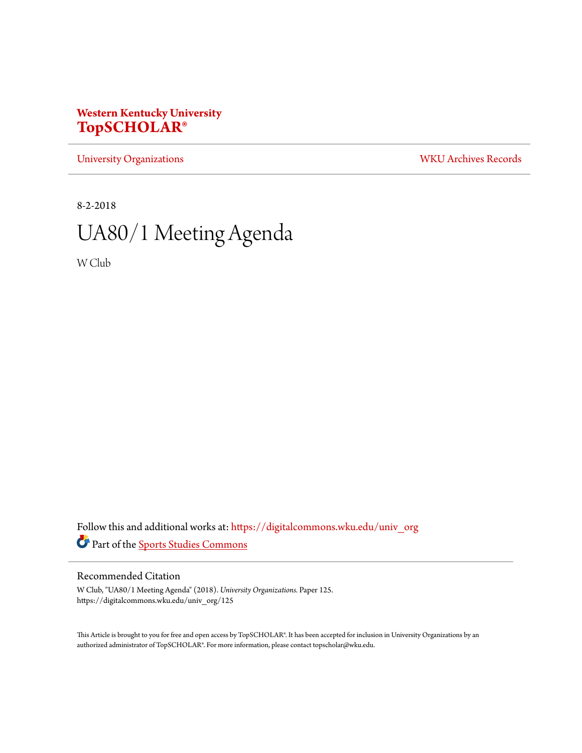## **Western Kentucky University [TopSCHOLAR®](https://digitalcommons.wku.edu?utm_source=digitalcommons.wku.edu%2Funiv_org%2F125&utm_medium=PDF&utm_campaign=PDFCoverPages)**

[University Organizations](https://digitalcommons.wku.edu/univ_org?utm_source=digitalcommons.wku.edu%2Funiv_org%2F125&utm_medium=PDF&utm_campaign=PDFCoverPages) [WKU Archives Records](https://digitalcommons.wku.edu/dlsc_ua_records?utm_source=digitalcommons.wku.edu%2Funiv_org%2F125&utm_medium=PDF&utm_campaign=PDFCoverPages)

8-2-2018

# UA80/1 Meeting Agenda

W Club

Follow this and additional works at: [https://digitalcommons.wku.edu/univ\\_org](https://digitalcommons.wku.edu/univ_org?utm_source=digitalcommons.wku.edu%2Funiv_org%2F125&utm_medium=PDF&utm_campaign=PDFCoverPages) Part of the [Sports Studies Commons](http://network.bepress.com/hgg/discipline/1198?utm_source=digitalcommons.wku.edu%2Funiv_org%2F125&utm_medium=PDF&utm_campaign=PDFCoverPages)

#### Recommended Citation

W Club, "UA80/1 Meeting Agenda" (2018). *University Organizations.* Paper 125. https://digitalcommons.wku.edu/univ\_org/125

This Article is brought to you for free and open access by TopSCHOLAR®. It has been accepted for inclusion in University Organizations by an authorized administrator of TopSCHOLAR®. For more information, please contact topscholar@wku.edu.